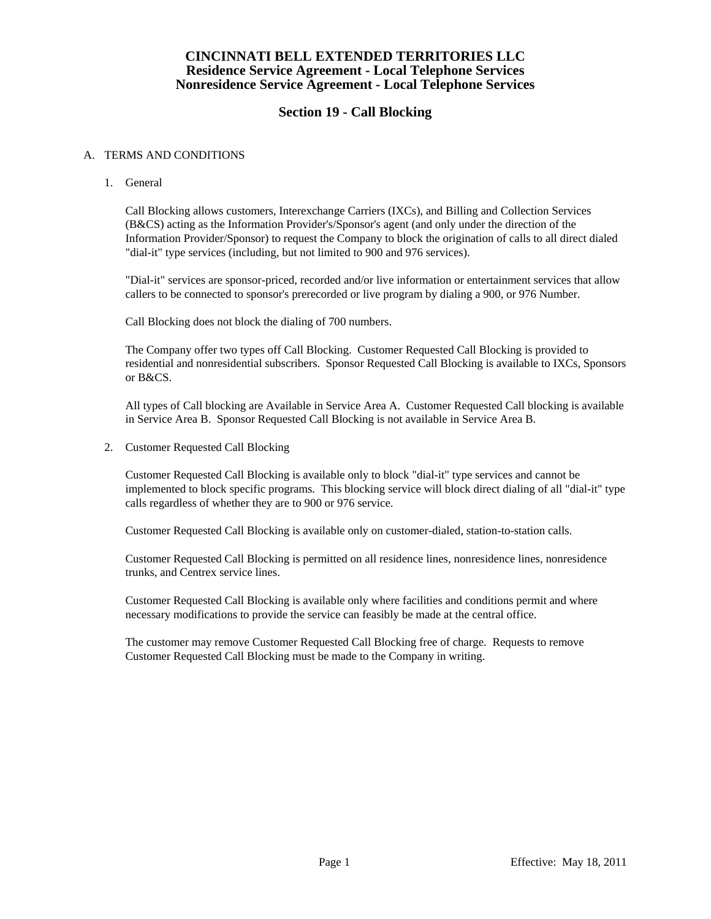### **CINCINNATI BELL EXTENDED TERRITORIES LLC Residence Service Agreement - Local Telephone Services Nonresidence Service Agreement - Local Telephone Services**

# **Section 19 - Call Blocking**

#### A. TERMS AND CONDITIONS

1. General

 Call Blocking allows customers, Interexchange Carriers (IXCs), and Billing and Collection Services (B&CS) acting as the Information Provider's/Sponsor's agent (and only under the direction of the Information Provider/Sponsor) to request the Company to block the origination of calls to all direct dialed "dial-it" type services (including, but not limited to 900 and 976 services).

 "Dial-it" services are sponsor-priced, recorded and/or live information or entertainment services that allow callers to be connected to sponsor's prerecorded or live program by dialing a 900, or 976 Number.

Call Blocking does not block the dialing of 700 numbers.

 The Company offer two types off Call Blocking. Customer Requested Call Blocking is provided to residential and nonresidential subscribers. Sponsor Requested Call Blocking is available to IXCs, Sponsors or B&CS.

 All types of Call blocking are Available in Service Area A. Customer Requested Call blocking is available in Service Area B. Sponsor Requested Call Blocking is not available in Service Area B.

2. Customer Requested Call Blocking

 Customer Requested Call Blocking is available only to block "dial-it" type services and cannot be implemented to block specific programs. This blocking service will block direct dialing of all "dial-it" type calls regardless of whether they are to 900 or 976 service.

Customer Requested Call Blocking is available only on customer-dialed, station-to-station calls.

 Customer Requested Call Blocking is permitted on all residence lines, nonresidence lines, nonresidence trunks, and Centrex service lines.

 Customer Requested Call Blocking is available only where facilities and conditions permit and where necessary modifications to provide the service can feasibly be made at the central office.

 The customer may remove Customer Requested Call Blocking free of charge. Requests to remove Customer Requested Call Blocking must be made to the Company in writing.